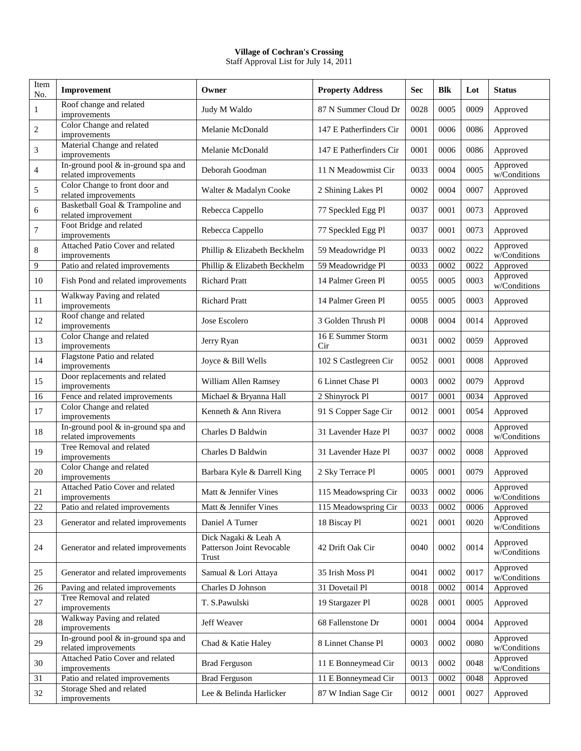## **Village of Cochran's Crossing**

Staff Approval List for July 14, 2011

| Item<br>No.    | Improvement                                                  | Owner                                                      | <b>Property Address</b>  | <b>Sec</b> | <b>Blk</b> | Lot  | <b>Status</b>            |
|----------------|--------------------------------------------------------------|------------------------------------------------------------|--------------------------|------------|------------|------|--------------------------|
| 1              | Roof change and related<br>improvements                      | Judy M Waldo                                               | 87 N Summer Cloud Dr     | 0028       | 0005       | 0009 | Approved                 |
| 2              | Color Change and related<br>improvements                     | Melanie McDonald                                           | 147 E Patherfinders Cir  | 0001       | 0006       | 0086 | Approved                 |
| 3              | Material Change and related<br>improvements                  | Melanie McDonald                                           | 147 E Patherfinders Cir  | 0001       | 0006       | 0086 | Approved                 |
| $\overline{4}$ | In-ground pool & in-ground spa and<br>related improvements   | Deborah Goodman                                            | 11 N Meadowmist Cir      | 0033       | 0004       | 0005 | Approved<br>w/Conditions |
| 5              | Color Change to front door and<br>related improvements       | Walter & Madalyn Cooke                                     | 2 Shining Lakes Pl       | 0002       | 0004       | 0007 | Approved                 |
| 6              | Basketball Goal & Trampoline and<br>related improvement      | Rebecca Cappello                                           | 77 Speckled Egg Pl       | 0037       | 0001       | 0073 | Approved                 |
| 7              | Foot Bridge and related<br>improvements                      | Rebecca Cappello                                           | 77 Speckled Egg Pl       | 0037       | 0001       | 0073 | Approved                 |
| 8              | Attached Patio Cover and related<br>improvements             | Phillip & Elizabeth Beckhelm                               | 59 Meadowridge Pl        | 0033       | 0002       | 0022 | Approved<br>w/Conditions |
| 9              | Patio and related improvements                               | Phillip & Elizabeth Beckhelm                               | 59 Meadowridge Pl        | 0033       | 0002       | 0022 | Approved                 |
| 10             | Fish Pond and related improvements                           | <b>Richard Pratt</b>                                       | 14 Palmer Green Pl       | 0055       | 0005       | 0003 | Approved<br>w/Conditions |
| 11             | Walkway Paving and related<br>improvements                   | <b>Richard Pratt</b>                                       | 14 Palmer Green Pl       | 0055       | 0005       | 0003 | Approved                 |
| 12             | Roof change and related<br>improvements                      | Jose Escolero                                              | 3 Golden Thrush Pl       | 0008       | 0004       | 0014 | Approved                 |
| 13             | Color Change and related<br>improvements                     | Jerry Ryan                                                 | 16 E Summer Storm<br>Cir | 0031       | 0002       | 0059 | Approved                 |
| 14             | Flagstone Patio and related<br>improvements                  | Joyce & Bill Wells                                         | 102 S Castlegreen Cir    | 0052       | 0001       | 0008 | Approved                 |
| 15             | Door replacements and related<br>improvements                | William Allen Ramsey                                       | 6 Linnet Chase Pl        | 0003       | 0002       | 0079 | Approvd                  |
| 16             | Fence and related improvements                               | Michael & Bryanna Hall                                     | 2 Shinyrock Pl           | 0017       | 0001       | 0034 | Approved                 |
| 17             | Color Change and related<br>improvements                     | Kenneth & Ann Rivera                                       | 91 S Copper Sage Cir     | 0012       | 0001       | 0054 | Approved                 |
| 18             | In-ground pool & in-ground spa and<br>related improvements   | Charles D Baldwin                                          | 31 Lavender Haze Pl      | 0037       | 0002       | 0008 | Approved<br>w/Conditions |
| 19             | Tree Removal and related<br>improvements                     | Charles D Baldwin                                          | 31 Lavender Haze Pl      | 0037       | 0002       | 0008 | Approved                 |
| 20             | Color Change and related<br>improvements                     | Barbara Kyle & Darrell King                                | 2 Sky Terrace Pl         | 0005       | 0001       | 0079 | Approved                 |
| 21             | Attached Patio Cover and related<br>improvements             | Matt & Jennifer Vines                                      | 115 Meadowspring Cir     | 0033       | 0002       | 0006 | Approved<br>w/Conditions |
| 22             | Patio and related improvements                               | Matt & Jennifer Vines                                      | 115 Meadowspring Cir     | 0033       | 0002       | 0006 | Approved                 |
| 23             | Generator and related improvements                           | Daniel A Turner                                            | 18 Biscay Pl             | 0021       | 0001       | 0020 | Approved<br>w/Conditions |
| 24             | Generator and related improvements                           | Dick Nagaki & Leah A<br>Patterson Joint Revocable<br>Trust | 42 Drift Oak Cir         | 0040       | 0002       | 0014 | Approved<br>w/Conditions |
| 25             | Generator and related improvements                           | Samual & Lori Attaya                                       | 35 Irish Moss Pl         | 0041       | 0002       | 0017 | Approved<br>w/Conditions |
| 26             | Paving and related improvements                              | Charles D Johnson                                          | 31 Dovetail Pl           | 0018       | 0002       | 0014 | Approved                 |
| 27             | Tree Removal and related<br>improvements                     | T. S.Pawulski                                              | 19 Stargazer Pl          | 0028       | 0001       | 0005 | Approved                 |
| 28             | Walkway Paving and related<br>improvements                   | Jeff Weaver                                                | 68 Fallenstone Dr        | 0001       | 0004       | 0004 | Approved                 |
| 29             | In-ground pool $&$ in-ground spa and<br>related improvements | Chad & Katie Haley                                         | 8 Linnet Chanse Pl       | 0003       | 0002       | 0080 | Approved<br>w/Conditions |
| 30             | Attached Patio Cover and related<br>improvements             | <b>Brad Ferguson</b>                                       | 11 E Bonneymead Cir      | 0013       | 0002       | 0048 | Approved<br>w/Conditions |
| 31             | Patio and related improvements                               | <b>Brad Ferguson</b>                                       | 11 E Bonneymead Cir      | 0013       | 0002       | 0048 | Approved                 |
| 32             | Storage Shed and related<br>improvements                     | Lee & Belinda Harlicker                                    | 87 W Indian Sage Cir     | 0012       | 0001       | 0027 | Approved                 |